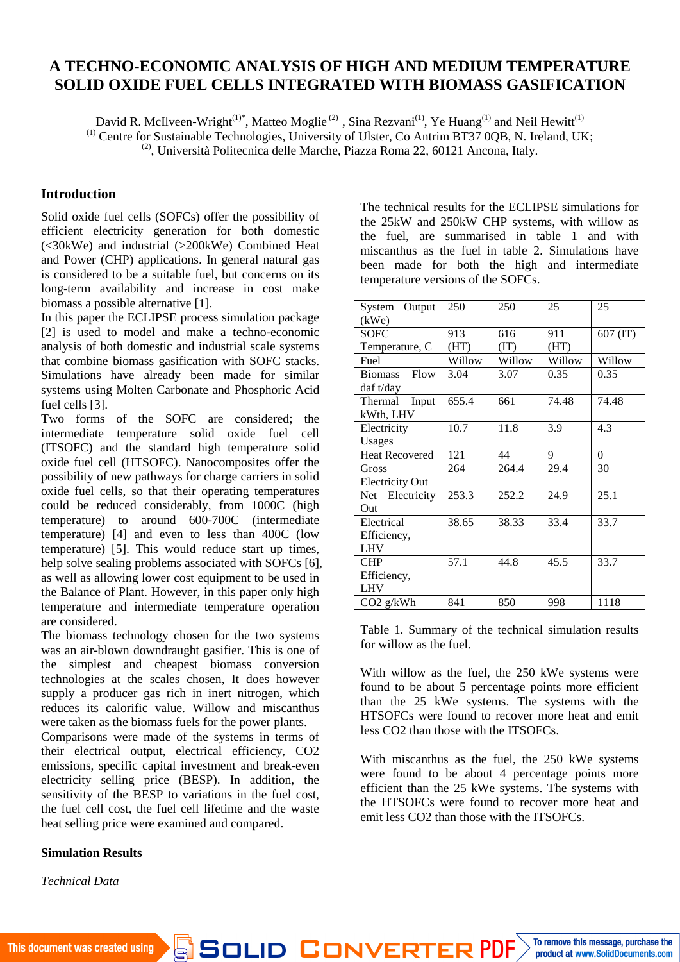# **A TECHNO-ECONOMIC ANALYSIS OF HIGH AND MEDIUM TEMPERATURE SOLID OXIDE FUEL CELLS INTEGRATED WITH BIOMASS GASIFICATION**

David R. McIlveen-Wright<sup>(1)\*</sup>, Matteo Moglie<sup>(2)</sup> , Sina Rezvani<sup>(1)</sup>, Ye Huang<sup>(1)</sup> and Neil Hewitt<sup>(1)</sup>

<sup>(1)</sup> Centre for Sustainable Technologies, University of Ulster, Co Antrim BT37 0QB, N. Ireland, UK;

<sup>(2)</sup>, Università Politecnica delle Marche, Piazza Roma 22, 60121 Ancona, Italy.

## **Introduction**

Solid oxide fuel cells (SOFCs) offer the possibility of efficient electricity generation for both domestic (<30kWe) and industrial (>200kWe) Combined Heat and Power (CHP) applications. In general natural gas is considered to be a suitable fuel, but concerns on its long-term availability and increase in cost make biomass a possible alternative [1].

In this paper the ECLIPSE process simulation package [2] is used to model and make a techno-economic analysis of both domestic and industrial scale systems that combine biomass gasification with SOFC stacks. Simulations have already been made for similar systems using Molten Carbonate and Phosphoric Acid fuel cells [3].

Two forms of the SOFC are considered; the intermediate temperature solid oxide fuel cell (ITSOFC) and the standard high temperature solid oxide fuel cell (HTSOFC). Nanocomposites offer the possibility of new pathways for charge carriers in solid oxide fuel cells, so that their operating temperatures could be reduced considerably, from 1000C (high temperature) to around 600-700C (intermediate temperature) [4] and even to less than 400C (low temperature) [5]. This would reduce start up times, help solve sealing problems associated with SOFCs [6], as well as allowing lower cost equipment to be used in the Balance of Plant. However, in this paper only high temperature and intermediate temperature operation are considered.

The biomass technology chosen for the two systems was an air-blown downdraught gasifier. This is one of the simplest and cheapest biomass conversion technologies at the scales chosen, It does however supply a producer gas rich in inert nitrogen, which reduces its calorific value. Willow and miscanthus were taken as the biomass fuels for the power plants.

Comparisons were made of the systems in terms of their electrical output, electrical efficiency, CO2 emissions, specific capital investment and break-even electricity selling price (BESP). In addition, the sensitivity of the BESP to variations in the fuel cost, the fuel cell cost, the fuel cell lifetime and the waste heat selling price were examined and compared.

#### **Simulation Results**

*Technical Data*

The technical results for the ECLIPSE simulations for the 25kW and 250kW CHP systems, with willow as the fuel, are summarised in table 1 and with miscanthus as the fuel in table 2. Simulations have been made for both the high and intermediate temperature versions of the SOFCs.

| System Output          | 250    | 250    | 25     | 25         |
|------------------------|--------|--------|--------|------------|
| (kWe)                  |        |        |        |            |
| <b>SOFC</b>            | 913    | 616    | 911    | $607$ (IT) |
| Temperature, C         | (HT)   | (TT)   | (HT)   |            |
| Fuel                   | Willow | Willow | Willow | Willow     |
| Flow<br><b>Biomass</b> | 3.04   | 3.07   | 0.35   | 0.35       |
| daf t/day              |        |        |        |            |
| Thermal Input          | 655.4  | 661    | 74.48  | 74.48      |
| kWth, LHV              |        |        |        |            |
| Electricity            | 10.7   | 11.8   | 3.9    | 4.3        |
| Usages                 |        |        |        |            |
| <b>Heat Recovered</b>  | 121    | 44     | 9      | $\theta$   |
| Gross                  | 264    | 264.4  | 29.4   | 30         |
| <b>Electricity Out</b> |        |        |        |            |
| Net Electricity        | 253.3  | 252.2  | 24.9   | 25.1       |
| Out                    |        |        |        |            |
| Electrical             | 38.65  | 38.33  | 33.4   | 33.7       |
| Efficiency,            |        |        |        |            |
| <b>LHV</b>             |        |        |        |            |
| <b>CHP</b>             | 57.1   | 44.8   | 45.5   | 33.7       |
| Efficiency,            |        |        |        |            |
| <b>LHV</b>             |        |        |        |            |
| CO2 g/kWh              | 841    | 850    | 998    | 1118       |

Table 1. Summary of the technical simulation results for willow as the fuel.

With willow as the fuel, the 250 kWe systems were found to be about 5 percentage points more efficient than the 25 kWe systems. The systems with the HTSOFCs were found to recover more heat and emit less CO2 than those with the ITSOFCs.

With miscanthus as the fuel, the 250 kWe systems were found to be about 4 percentage points more efficient than the 25 kWe systems. The systems with the HTSOFCs were found to recover more heat and emit less CO2 than those with the ITSOFCs.

SOLID CONVERTER PDF